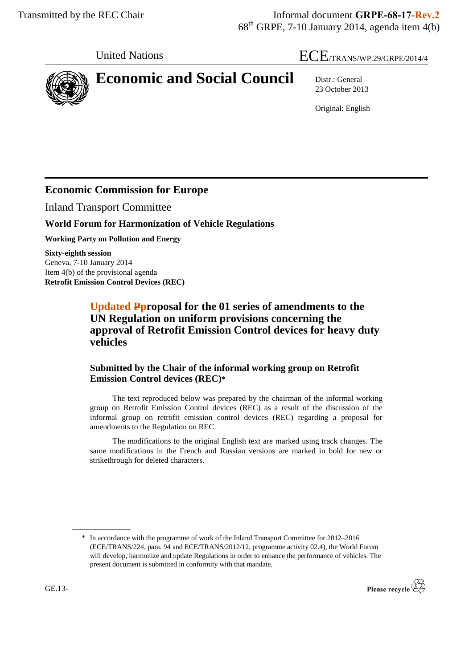# United Nations  $\text{ECE}_{\text{TRANS/WP}.29/\text{GRPE}/2014/4}$



23 October 2013

Original: English

# **Economic Commission for Europe**

Inland Transport Committee

### **World Forum for Harmonization of Vehicle Regulations**

**Working Party on Pollution and Energy**

**Sixty-eighth session** Geneva, 7-10 January 2014 Item 4(b) of the provisional agenda **Retrofit Emission Control Devices (REC)**

> **Updated Pproposal for the 01 series of amendments to the UN Regulation on uniform provisions concerning the approval of Retrofit Emission Control devices for heavy duty vehicles**

### **Submitted by the Chair of the informal working group on Retrofit Emission Control devices (REC)\***

The text reproduced below was prepared by the chairman of the informal working group on Retrofit Emission Control devices (REC) as a result of the discussion of the informal group on retrofit emission control devices (REC) regarding a proposal for amendments to the Regulation on REC.

The modifications to the original English text are marked using track changes. The same modifications in the French and Russian versions are marked in bold for new or strikethrough for deleted characters.

<sup>\*</sup> In accordance with the programme of work of the Inland Transport Committee for 2012–2016 (ECE/TRANS/224, para. 94 and ECE/TRANS/2012/12, programme activity 02.4), the World Forum will develop, harmonize and update Regulations in order to enhance the performance of vehicles. The present document is submitted in conformity with that mandate.

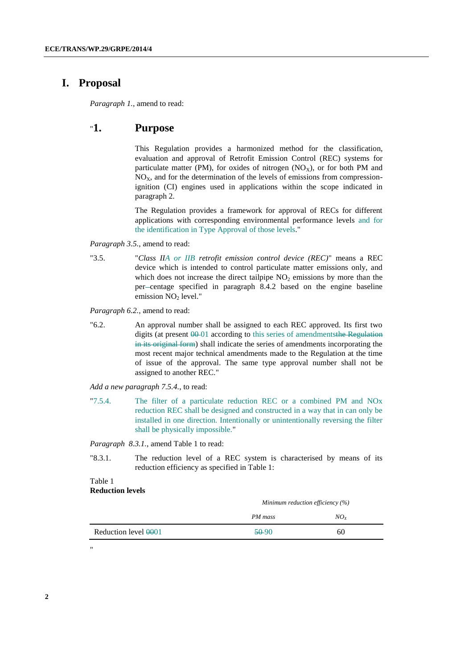#### **I. Proposal**

*Paragraph 1.*, amend to read:

#### "**1. Purpose**

This Regulation provides a harmonized method for the classification, evaluation and approval of Retrofit Emission Control (REC) systems for particulate matter (PM), for oxides of nitrogen ( $NO<sub>X</sub>$ ), or for both PM and  $NO<sub>X</sub>$ , and for the determination of the levels of emissions from compressionignition (CI) engines used in applications within the scope indicated in paragraph 2.

The Regulation provides a framework for approval of RECs for different applications with corresponding environmental performance levels and for the identification in Type Approval of those levels."

*Paragraph 3.5.*, amend to read:

"3.5. "*Class IIA or IIB retrofit emission control device (REC)*" means a REC device which is intended to control particulate matter emissions only, and which does not increase the direct tailpipe  $NO<sub>2</sub>$  emissions by more than the per-centage specified in paragraph 8.4.2 based on the engine baseline emission NO<sub>2</sub> level."

*Paragraph 6.2.*, amend to read:

"6.2. An approval number shall be assigned to each REC approved. Its first two digits (at present  $00-01$  according to this series of amendmentsthe Regulation in its original form) shall indicate the series of amendments incorporating the most recent major technical amendments made to the Regulation at the time of issue of the approval. The same type approval number shall not be assigned to another REC."

*Add a new paragraph 7.5.4.*, to read:

"7.5.4. The filter of a particulate reduction REC or a combined PM and NOx reduction REC shall be designed and constructed in a way that in can only be installed in one direction. Intentionally or unintentionally reversing the filter shall be physically impossible."

*Paragraph 8.3.1.*, amend Table 1 to read:

"8.3.1. The reduction level of a REC system is characterised by means of its reduction efficiency as specified in Table 1:

#### Table 1 **Reduction levels**

"

|                      |         | Minimum reduction efficiency $(\%)$ |
|----------------------|---------|-------------------------------------|
|                      | PM mass | $NO_{X}$                            |
| Reduction level 0001 | $50-90$ | 60                                  |

**2**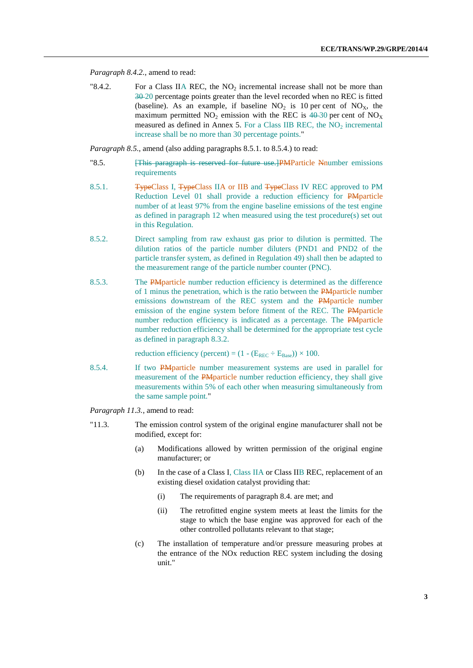*Paragraph 8.4.2.*, amend to read:

"8.4.2. For a Class IIA REC, the  $NO<sub>2</sub>$  incremental increase shall not be more than 30 20 percentage points greater than the level recorded when no REC is fitted (baseline). As an example, if baseline  $NO<sub>2</sub>$  is 10 per cent of  $NO<sub>X</sub>$ , the maximum permitted  $NO_2$  emission with the REC is  $40-30$  per cent of  $NO_X$ measured as defined in Annex 5. For a Class IIB REC, the  $NO<sub>2</sub>$  incremental increase shall be no more than 30 percentage points."

*Paragraph 8.5.*, amend (also adding paragraphs 8.5.1. to 8.5.4.) to read:

- "8.5. [This paragraph is reserved for future use.]PMParticle Nnumber emissions requirements
- 8.5.1. **TypeClass I, TypeClass IIA or IIB and TypeClass IV REC approved to PM** Reduction Level 01 shall provide a reduction efficiency for PMparticle number of at least 97% from the engine baseline emissions of the test engine as defined in paragraph 12 when measured using the test procedure(s) set out in this Regulation.
- 8.5.2. Direct sampling from raw exhaust gas prior to dilution is permitted. The dilution ratios of the particle number diluters (PND1 and PND2 of the particle transfer system, as defined in Regulation 49) shall then be adapted to the measurement range of the particle number counter (PNC).
- 8.5.3. The PMparticle number reduction efficiency is determined as the difference of 1 minus the penetration, which is the ratio between the PMparticle number emissions downstream of the REC system and the PMparticle number emission of the engine system before fitment of the REC. The PMparticle number reduction efficiency is indicated as a percentage. The PM particle number reduction efficiency shall be determined for the appropriate test cycle as defined in paragraph 8.3.2.

reduction efficiency (percent) =  $(1 - (E_{REC} \div E_{Base})) \times 100$ .

8.5.4. If two PM particle number measurement systems are used in parallel for measurement of the PMparticle number reduction efficiency, they shall give measurements within 5% of each other when measuring simultaneously from the same sample point."

*Paragraph 11.3.*, amend to read:

- "11.3. The emission control system of the original engine manufacturer shall not be modified, except for:
	- (a) Modifications allowed by written permission of the original engine manufacturer; or
	- (b) In the case of a Class I, Class IIA or Class IIB REC, replacement of an existing diesel oxidation catalyst providing that:
		- (i) The requirements of paragraph 8.4. are met; and
		- (ii) The retrofitted engine system meets at least the limits for the stage to which the base engine was approved for each of the other controlled pollutants relevant to that stage;
	- (c) The installation of temperature and/or pressure measuring probes at the entrance of the NOx reduction REC system including the dosing unit."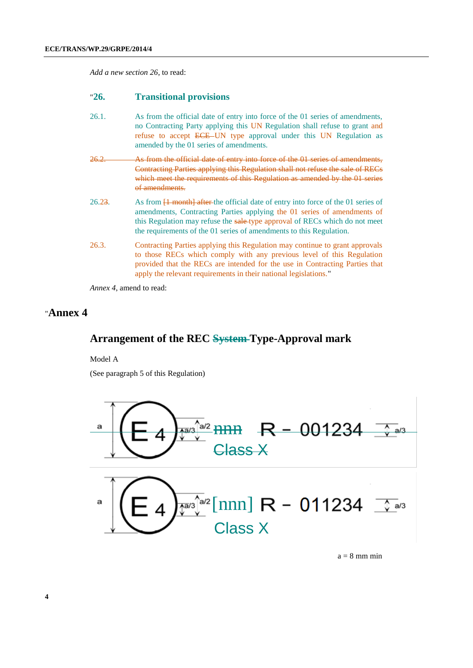*Add a new section 26*, to read:

#### "**26. Transitional provisions**

- 26.1. As from the official date of entry into force of the 01 series of amendments, no Contracting Party applying this UN Regulation shall refuse to grant and refuse to accept ECE UN type approval under this UN Regulation as amended by the 01 series of amendments.
- 26.2. As from the official date of entry into force of the 01 series of amendments, Contracting Parties applying this Regulation shall not refuse the sale of RECs which meet the requirements of this Regulation as amended by the 01 series of amendments.
- 26.23. As from  $\overline{1}$  month after the official date of entry into force of the 01 series of amendments, Contracting Parties applying the 01 series of amendments of this Regulation may refuse the sale-type approval of RECs which do not meet the requirements of the 01 series of amendments to this Regulation.
- 26.3. Contracting Parties applying this Regulation may continue to grant approvals to those RECs which comply with any previous level of this Regulation provided that the RECs are intended for the use in Contracting Parties that apply the relevant requirements in their national legislations."

*Annex 4*, amend to read:

### "**Annex 4**

#### **Arrangement of the REC System Type-Approval mark**

Model A

(See paragraph 5 of this Regulation)



 $a = 8$  mm min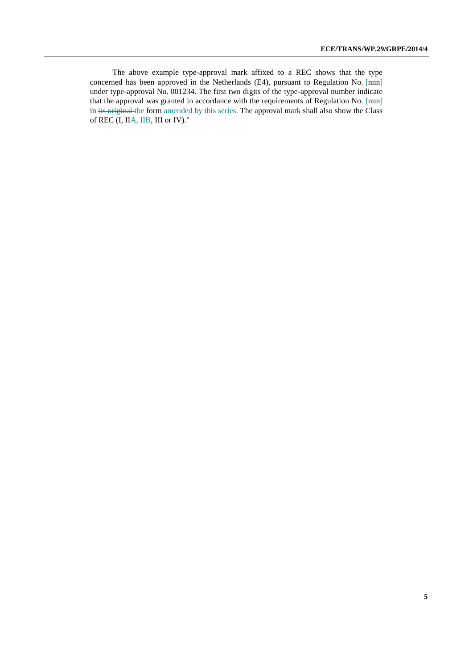The above example type-approval mark affixed to a REC shows that the type concerned has been approved in the Netherlands (E4), pursuant to Regulation No. [nnn] under type-approval No. 001234. The first two digits of the type-approval number indicate that the approval was granted in accordance with the requirements of Regulation No. [nnn] in its original the form amended by this series. The approval mark shall also show the Class of REC (I, IIA, IIB, III or IV)."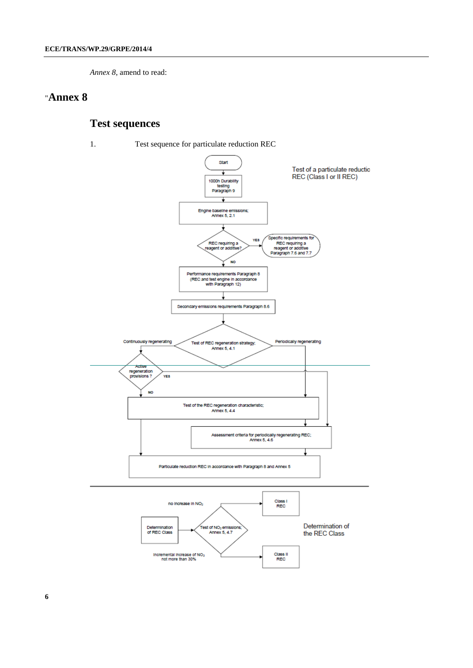*Annex 8*, amend to read:

#### "**Annex 8**

# **Test sequences**

1. Test sequence for particulate reduction REC

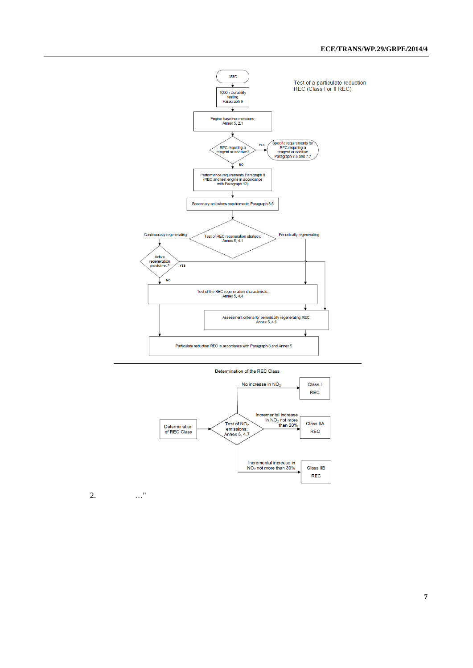



2. …"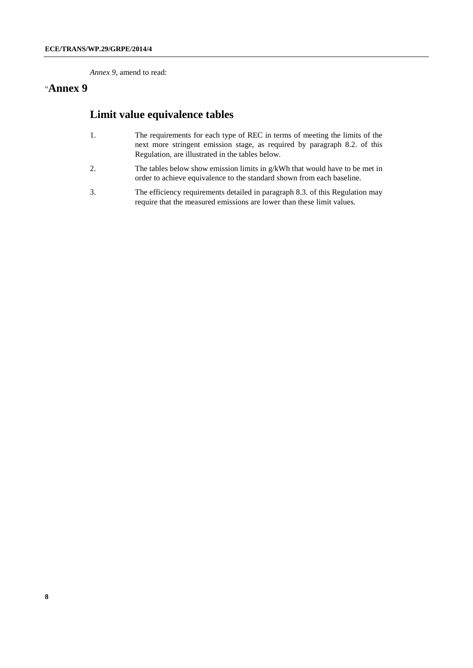*Annex 9*, amend to read:

## "**Annex 9**

# **Limit value equivalence tables**

- 1. The requirements for each type of REC in terms of meeting the limits of the next more stringent emission stage, as required by paragraph 8.2. of this Regulation, are illustrated in the tables below.
- 2. The tables below show emission limits in g/kWh that would have to be met in order to achieve equivalence to the standard shown from each baseline.
- 3. The efficiency requirements detailed in paragraph 8.3. of this Regulation may require that the measured emissions are lower than these limit values.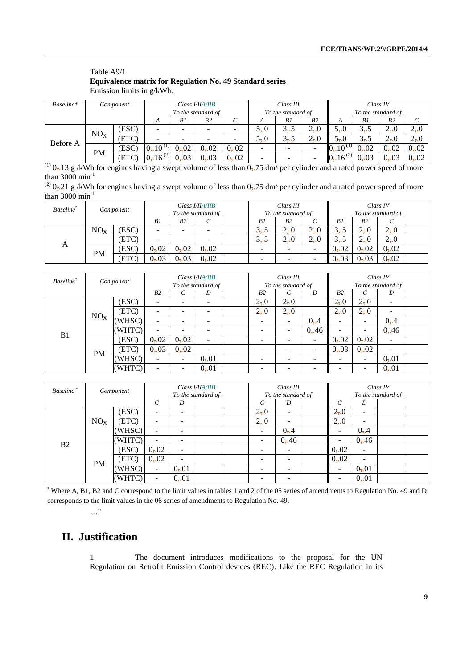#### Table A9/1 **Equivalence matrix for Regulation No. 49 Standard series** Emission limits in g/kWh.

| Baseline* |                 | Component | Class <b>VIIA/IIB</b> |      |                    |      | Class III          |         |          | Class IV                |         |                 |                 |
|-----------|-----------------|-----------|-----------------------|------|--------------------|------|--------------------|---------|----------|-------------------------|---------|-----------------|-----------------|
|           |                 |           |                       |      | To the standard of |      | To the standard of |         |          | To the standard of      |         |                 |                 |
|           |                 |           | A                     | Bl   | B2                 | ◡    | А                  | B1      | B2       | А                       | B1      | B <sub>2</sub>  | C               |
| Before A  | NO <sub>X</sub> | (ESC)     |                       |      |                    |      | $5-0$              | $3 - 5$ | $2_{7}0$ | $5-0$                   | $3 - 5$ | $2_{\bar{z}}.0$ | $2_{7}0$        |
|           |                 | (ETC)     |                       |      |                    |      | $5-0$              | $3 - 5$ | $2_{7}0$ | $5-0$                   | $3 - 5$ | $2_{7}0$        | $2_{\bar{z}}.0$ |
|           | PM              | [ESC]     | $0, 10^{(1)}$         | 0,02 | 0,02               | 0,02 |                    | ۰       | -        | $0, 10^{(1)}$           | 0,02    | 0,02            | 0,02            |
|           |                 | (ETC)     | $0.16^{(2)}$          | 0,03 | 0, 03              | 0,02 | -                  | -       | -        | $0$ , 16 <sup>(2)</sup> | 0,03    | 0, 03           | 0,02            |

 $\frac{(1)}{(1)}$  0,.13 g /kWh for engines having a swept volume of less than 0,.75 dm<sup>3</sup> per cylinder and a rated power speed of more than 3000 min<sup>-1</sup>

| <sup>(2)</sup> $0$ <sub>7</sub> .21 g/kWh for engines having a swept volume of less than $0$ <sub>7</sub> .75 dm <sup>3</sup> per cylinder and a rated power speed of more |  |
|----------------------------------------------------------------------------------------------------------------------------------------------------------------------------|--|
| than 3000 $\text{min}^{-1}$                                                                                                                                                |  |

| Baseline* |                 | Component | Class <b>VIIA/IIB</b><br>To the standard of |                |      |  |                          | Class III<br>To the standard of |         | Class IV<br>To the standard of |                |          |  |
|-----------|-----------------|-----------|---------------------------------------------|----------------|------|--|--------------------------|---------------------------------|---------|--------------------------------|----------------|----------|--|
|           |                 |           | B1                                          | B <sub>2</sub> |      |  | B1                       | B <sub>2</sub>                  |         | Βl                             | B <sub>2</sub> | C        |  |
| A         | NO <sub>X</sub> | (ESC)     |                                             | -              |      |  | $3 - 5$                  | $2 - 0$                         | $2 - 0$ | $3 - 5$                        | $2_{7}0$       | $2_{7}0$ |  |
|           |                 | (ETC)     |                                             | -              |      |  | $3 - 5$                  | $2 - 0$                         | $2 - 0$ | $3 - 5$                        | $2_{7}0$       | $2_{7}0$ |  |
|           | PM              | (ESC)     | 0,02                                        | 0,02           | 0,02 |  | $\overline{\phantom{0}}$ | -                               |         | 0,02                           | 0,02           | 0,02     |  |
|           |                 | (ETC      | 0, 03                                       | $0 - 03$       | 0,02 |  | $\overline{\phantom{0}}$ | -                               |         | 0,03                           | 0,03           | 0,02     |  |

| Baseline <sup>*</sup> |                 | Component |                |       | Class I/IIA/IIB    | Class III          |                 |       | Class IV                 |                          |                          |  |
|-----------------------|-----------------|-----------|----------------|-------|--------------------|--------------------|-----------------|-------|--------------------------|--------------------------|--------------------------|--|
|                       |                 |           |                |       | To the standard of | To the standard of |                 |       | To the standard of       |                          |                          |  |
|                       |                 |           | B <sub>2</sub> | C     | D                  | B <sub>2</sub>     | C               | D     | B <sub>2</sub>           | $\mathcal{C}_{0}^{0}$    | D                        |  |
|                       |                 | (ESC)     |                |       |                    | $2_{\bar{1}}.0$    | $2_{7}0$        |       | $2_{\bar{1}}.0$          | $2_{\bar{2}}.0$          |                          |  |
|                       | NO <sub>X</sub> | (ETC)     |                |       |                    | $2_{7}0$           | $2_{\bar{z}}.0$ |       | $2_{\bar{z}}.0$          | $2_{\bar{2}}.0$          | $\overline{\phantom{0}}$ |  |
|                       |                 | (WHSC)    |                |       |                    |                    | -               | 0, 4  |                          |                          | 0, 4                     |  |
| B <sub>1</sub>        |                 | (WHTC)    |                |       |                    | -                  | ÷               | 0, 46 | $\overline{\phantom{a}}$ | ۰                        | 0, 46                    |  |
|                       |                 | (ESC)     | 0,02           | 0,02  | -                  |                    |                 |       | 0,02                     | 0,02                     | $\overline{\phantom{0}}$ |  |
|                       | <b>PM</b>       | (ETC)     | 0, 03          | 0, 02 | -                  | -                  |                 |       | 0, 03                    | 0,02                     | $\overline{\phantom{0}}$ |  |
|                       |                 | (WHSC)    |                | -     | 0, 01              | -                  |                 |       |                          | $\overline{\phantom{a}}$ | 0,01                     |  |
|                       |                 | (WHTC)    |                |       | 0, 01              |                    |                 |       |                          | -                        | 0,01                     |  |

| <b>Baseline</b> | Component       |        | Class I/IIA/IIB          |                          |                    |  |                          | Class III |  |                    | Class IV                 |  |  |  |
|-----------------|-----------------|--------|--------------------------|--------------------------|--------------------|--|--------------------------|-----------|--|--------------------|--------------------------|--|--|--|
|                 |                 |        |                          |                          | To the standard of |  | To the standard of       |           |  | To the standard of |                          |  |  |  |
|                 |                 |        | $\mathcal{C}_{0}^{0}$    | D                        |                    |  | $\mathcal{C}_{0}^{0}$    | D         |  | C                  | D                        |  |  |  |
|                 |                 | (ESC)  |                          |                          |                    |  | $2_{\bar{1}}.0$          | -         |  | $2_{\bar{1}}.0$    | -                        |  |  |  |
|                 | NO <sub>X</sub> | (ETC)  | -                        |                          |                    |  | $2_{7}0$                 | -         |  | $2_{\bar{2}}.0$    | $\overline{\phantom{0}}$ |  |  |  |
|                 |                 | (WHSC) | -                        |                          |                    |  | $\overline{\phantom{a}}$ | 0, 4      |  | ۰                  | 0, 4                     |  |  |  |
| B <sub>2</sub>  |                 | (WHTC) | ۰                        |                          |                    |  | $\overline{\phantom{a}}$ | 0, 46     |  | ۰                  | 0, 46                    |  |  |  |
|                 | <b>PM</b>       | (ESC)  | 0,02                     | $\overline{\phantom{a}}$ |                    |  | -                        | -         |  | 0, 02              | $\overline{\phantom{0}}$ |  |  |  |
|                 |                 | (ETC)  | 0,02                     | $\overline{\phantom{a}}$ |                    |  | $\overline{\phantom{0}}$ | -         |  | 0,02               | $\overline{\phantom{m}}$ |  |  |  |
|                 |                 | (WHSC) | $\overline{\phantom{0}}$ | 0, 01                    |                    |  | $\overline{\phantom{0}}$ | -         |  | ۰                  | 0,01                     |  |  |  |
|                 |                 | (WHTC) | $\overline{\phantom{0}}$ | 0,01                     |                    |  | -                        | -         |  | -                  | 0,01                     |  |  |  |

\* Where A, B1, B2 and C correspond to the limit values in tables 1 and 2 of the 05 series of amendments to Regulation No. 49 and D corresponds to the limit values in the 06 series of amendments to Regulation No. 49.

# **II. Justification**

…"

1. The document introduces modifications to the proposal for the UN Regulation on Retrofit Emission Control devices (REC). Like the REC Regulation in its